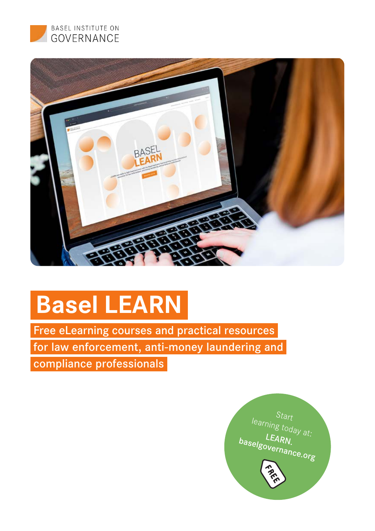



# **Basel LEARN**

Free eLearning courses and practical resources

for law enforcement, anti-money laundering and

compliance professionals

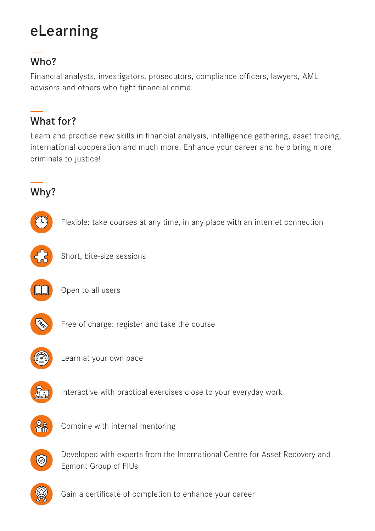# eLearning

### Who?

Financial analysts, investigators, prosecutors, compliance officers, lawyers, AML advisors and others who fight financial crime.

### What for?

Learn and practise new skills in financial analysis, intelligence gathering, asset tracing, international cooperation and much more. Enhance your career and help bring more criminals to justice!

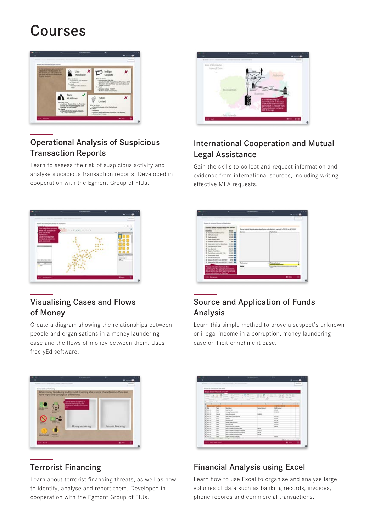## Courses



#### Operational Analysis of Suspicious Transaction Reports

Learn to assess the risk of suspicious activity and analyse suspicious transaction reports. Developed in cooperation with the Egmont Group of FIUs.



#### International Cooperation and Mutual Legal Assistance

Gain the skills to collect and request information and evidence from international sources, including writing effective MLA requests.



#### Visualising Cases and Flows of Money

Create a diagram showing the relationships between people and organisations in a money laundering case and the flows of money between them. Uses free yEd software.



#### Source and Application of Funds Analysis

Learn this simple method to prove a suspect's unknown or illegal income in a corruption, money laundering case or illicit enrichment case.



#### Terrorist Financing

Learn about terrorist financing threats, as well as how to identify, analyse and report them. Developed in cooperation with the Egmont Group of FIUs.

| Seasons & Toyot Associate and Institu-   |             |                                                                                       |                          |                                                                  |
|------------------------------------------|-------------|---------------------------------------------------------------------------------------|--------------------------|------------------------------------------------------------------|
| <b>Regi E. Select "Thepsall Advised"</b> |             |                                                                                       |                          |                                                                  |
| $\rightarrow$<br>۰                       | ×           | Ý<br>÷                                                                                | 17<br>÷                  |                                                                  |
| Seem in the talk                         | г           | G<br>n<br>v<br>÷<br>۰<br>٠                                                            | 11<br>五天和<br>$\sim$<br>÷ | ×<br>11.15<br>۰<br>٠<br>۰<br><b>START COMPANY</b><br>÷<br>-<br>- |
|                                          |             | ÷<br><b>COMPANY</b><br>-                                                              | -<br>÷<br>-              | $\sim$                                                           |
| ×                                        |             |                                                                                       |                          |                                                                  |
| ٠<br>٠                                   | ٠<br>٠      | ٠                                                                                     | ٠                        | ALC: U<br>٠                                                      |
| x                                        | --          |                                                                                       |                          | <b>ALC: U.S.A.A.</b>                                             |
| ¥<br>$\overline{}$                       | ÷           | <b>Service</b>                                                                        | <b>Install Service</b>   | <b>Daily Guitard</b>                                             |
| ¥<br><b>HEAR</b><br>٠                    | m           | <b><i><u>Institute</u></i></b>                                                        |                          | me                                                               |
| ٠<br>$-0.01$                             |             | <b>Williams President Internet</b>                                                    |                          | <b>STATE</b><br><b>STORY</b>                                     |
| ×<br><b>MALA</b>                         | <b>Send</b> | <b>Suiza Suprement</b>                                                                | ---                      |                                                                  |
| <b>Wildelphin</b>                        | -           | they floor in all contact                                                             |                          | <b>STATISTICS</b>                                                |
| v<br><b>MAGA</b>                         | w.          | <b>Hilder</b>                                                                         |                          | <b>COLOR</b>                                                     |
| <b>CALLA</b><br>٠                        | u           | <b>Brauers</b> (MF)                                                                   |                          |                                                                  |
| <b>Cana</b>                              | $\sim$      | <b>Three facility business</b>                                                        |                          | <b>ARLE</b>                                                      |
| d'ana                                    | m           | Now has credi-                                                                        |                          | <b>WHAT</b>                                                      |
| <b>Without</b>                           |             | <b>Report Fold Start Lowered</b>                                                      |                          | man.                                                             |
| <b>Wildelm</b>                           | m<br>m.     | State of Concise O'M Separat Man                                                      | <b>CALL AND</b>          |                                                                  |
| <b>Middle</b><br><b>HELMAN</b>           | ÷           | <b>But all cases of it fraum frantiser</b>                                            | <b>Hara</b>              |                                                                  |
|                                          | ÷<br>w.     | Now of Laura of A Security from threat                                                | $m + n$                  |                                                                  |
|                                          |             | <b>But all pays of a based for</b>                                                    | <b>STEW</b>              |                                                                  |
| s<br><b>STATISTICS</b>                   |             |                                                                                       |                          |                                                                  |
| <b>Color</b>                             | m           | <b>Training Study about a property</b><br>The Military College Call and St. Ltd., and |                          | <b>MAG</b>                                                       |

#### Financial Analysis using Excel

Learn how to use Excel to organise and analyse large volumes of data such as banking records, invoices, phone records and commercial transactions.